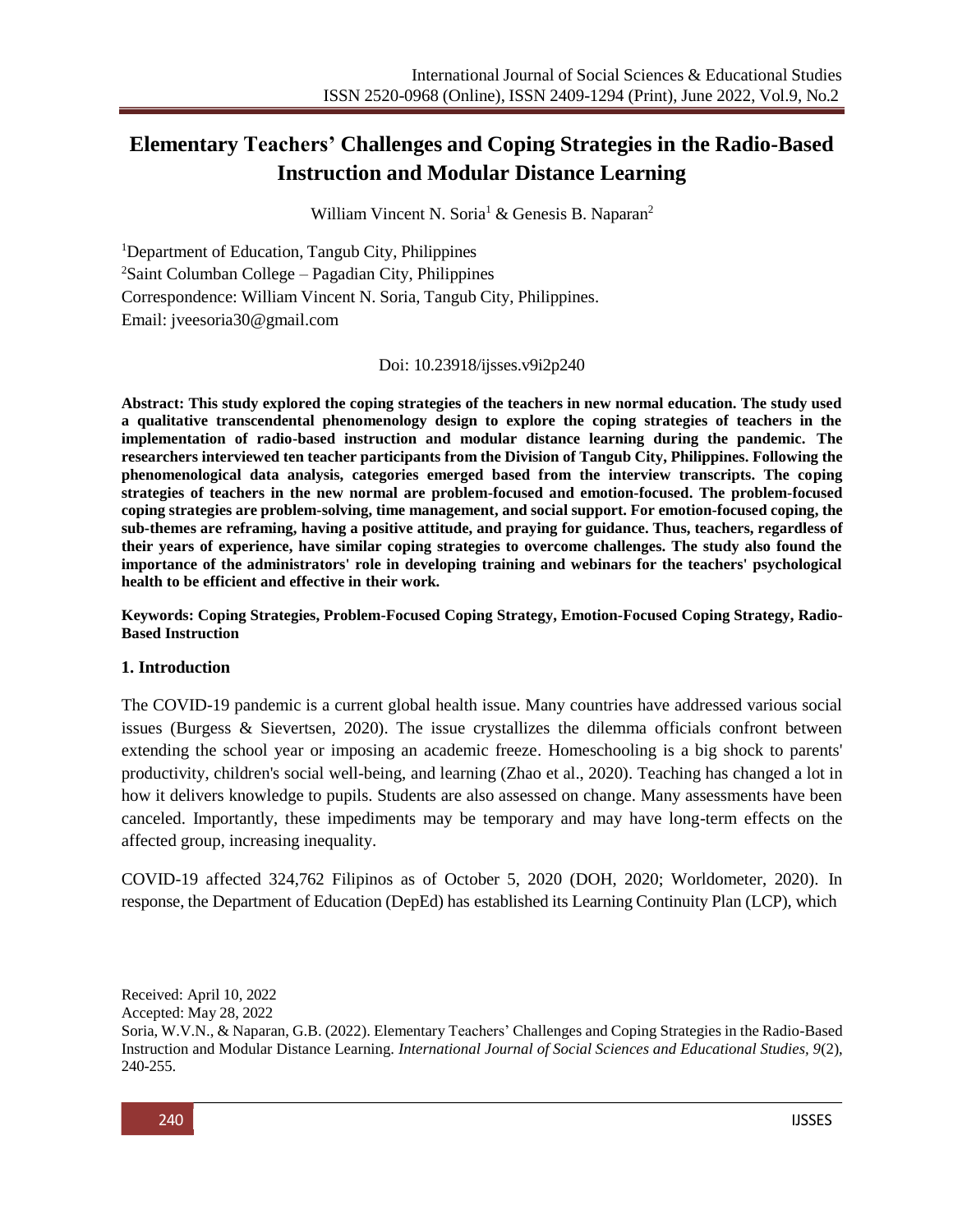# **Elementary Teachers' Challenges and Coping Strategies in the Radio-Based Instruction and Modular Distance Learning**

William Vincent N. Soria<sup>1</sup> & Genesis B. Naparan<sup>2</sup>

<sup>1</sup>Department of Education, Tangub City, Philippines  $2$ Saint Columban College – Pagadian City, Philippines Correspondence: William Vincent N. Soria, Tangub City, Philippines. Email: [jveesoria30@gmail.com](mailto:jveesoria30@gmail.com)

Doi: 10.23918/ijsses.v9i2p240

**Abstract: This study explored the coping strategies of the teachers in new normal education. The study used a qualitative transcendental phenomenology design to explore the coping strategies of teachers in the implementation of radio-based instruction and modular distance learning during the pandemic. The researchers interviewed ten teacher participants from the Division of Tangub City, Philippines. Following the phenomenological data analysis, categories emerged based from the interview transcripts. The coping strategies of teachers in the new normal are problem-focused and emotion-focused. The problem-focused coping strategies are problem-solving, time management, and social support. For emotion-focused coping, the sub-themes are reframing, having a positive attitude, and praying for guidance. Thus, teachers, regardless of their years of experience, have similar coping strategies to overcome challenges. The study also found the importance of the administrators' role in developing training and webinars for the teachers' psychological health to be efficient and effective in their work.**

**Keywords: Coping Strategies, Problem-Focused Coping Strategy, Emotion-Focused Coping Strategy, Radio-Based Instruction**

#### **1. Introduction**

The COVID-19 pandemic is a current global health issue. Many countries have addressed various social issues (Burgess & Sievertsen, 2020). The issue crystallizes the dilemma officials confront between extending the school year or imposing an academic freeze. Homeschooling is a big shock to parents' productivity, children's social well-being, and learning (Zhao et al., 2020). Teaching has changed a lot in how it delivers knowledge to pupils. Students are also assessed on change. Many assessments have been canceled. Importantly, these impediments may be temporary and may have long-term effects on the affected group, increasing inequality.

COVID-19 affected 324,762 Filipinos as of October 5, 2020 (DOH, 2020; Worldometer, 2020). In response, the Department of Education (DepEd) has established its Learning Continuity Plan (LCP), which

Soria, W.V.N., & Naparan, G.B. (2022). Elementary Teachers' Challenges and Coping Strategies in the Radio-Based Instruction and Modular Distance Learning. *International Journal of Social Sciences and Educational Studies, 9*(2), 240-255.



Received: April 10, 2022

Accepted: May 28, 2022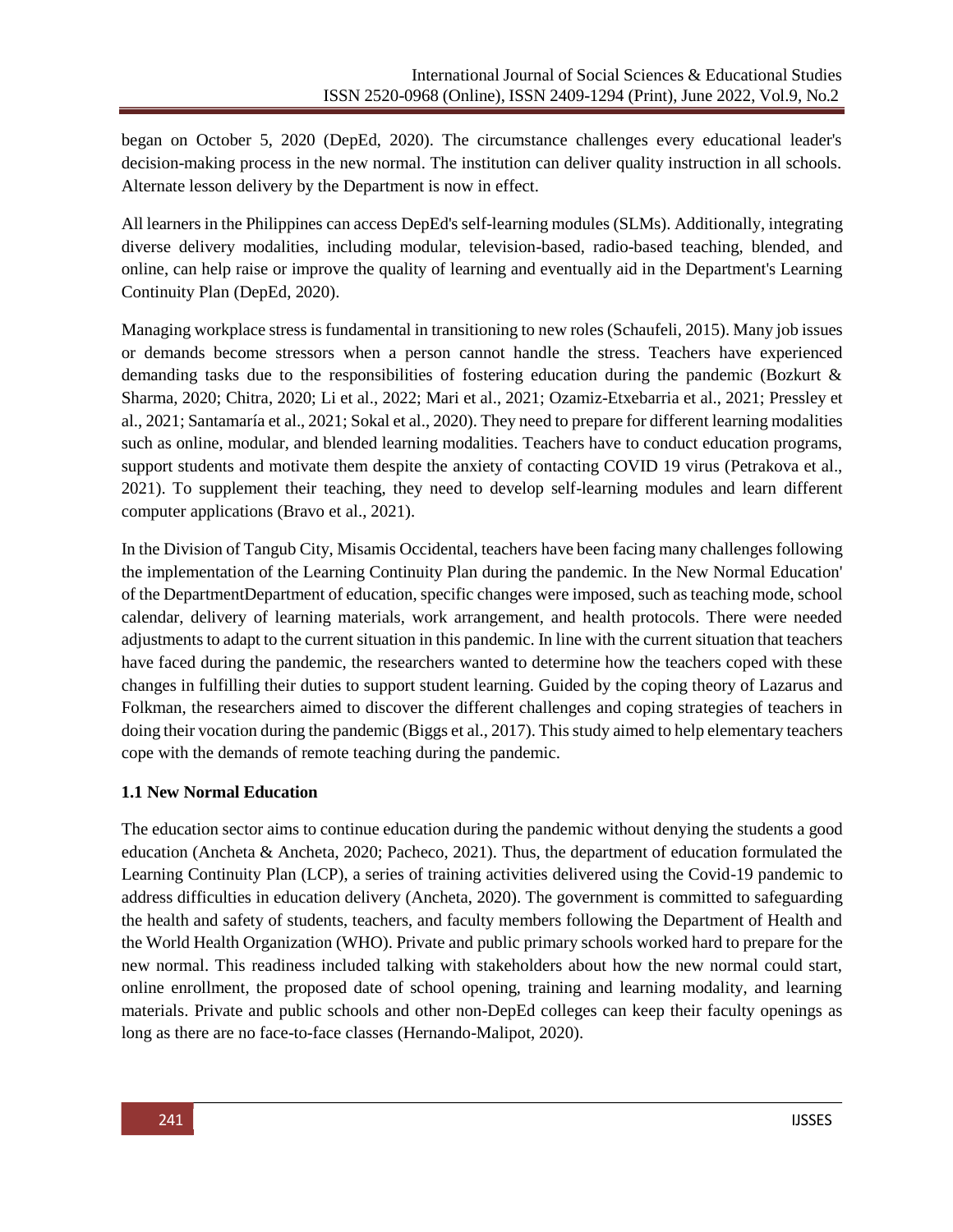began on October 5, 2020 (DepEd, 2020). The circumstance challenges every educational leader's decision-making process in the new normal. The institution can deliver quality instruction in all schools. Alternate lesson delivery by the Department is now in effect.

All learners in the Philippines can access DepEd's self-learning modules (SLMs). Additionally, integrating diverse delivery modalities, including modular, television-based, radio-based teaching, blended, and online, can help raise or improve the quality of learning and eventually aid in the Department's Learning Continuity Plan (DepEd, 2020).

Managing workplace stress is fundamental in transitioning to new roles (Schaufeli, 2015). Many job issues or demands become stressors when a person cannot handle the stress. Teachers have experienced demanding tasks due to the responsibilities of fostering education during the pandemic (Bozkurt & Sharma, 2020; Chitra, 2020; Li et al., 2022; Mari et al., 2021; Ozamiz-Etxebarria et al., 2021; Pressley et al., 2021; Santamaría et al., 2021; Sokal et al., 2020). They need to prepare for different learning modalities such as online, modular, and blended learning modalities. Teachers have to conduct education programs, support students and motivate them despite the anxiety of contacting COVID 19 virus (Petrakova et al., 2021). To supplement their teaching, they need to develop self-learning modules and learn different computer applications (Bravo et al., 2021).

In the Division of Tangub City, Misamis Occidental, teachers have been facing many challenges following the implementation of the Learning Continuity Plan during the pandemic. In the New Normal Education' of the DepartmentDepartment of education, specific changes were imposed, such asteaching mode, school calendar, delivery of learning materials, work arrangement, and health protocols. There were needed adjustments to adapt to the current situation in this pandemic. In line with the current situation that teachers have faced during the pandemic, the researchers wanted to determine how the teachers coped with these changes in fulfilling their duties to support student learning. Guided by the coping theory of Lazarus and Folkman, the researchers aimed to discover the different challenges and coping strategies of teachers in doing their vocation during the pandemic (Biggs et al., 2017). Thisstudy aimed to help elementary teachers cope with the demands of remote teaching during the pandemic.

#### **1.1 New Normal Education**

The education sector aims to continue education during the pandemic without denying the students a good education (Ancheta & Ancheta, 2020; Pacheco, 2021). Thus, the department of education formulated the Learning Continuity Plan (LCP), a series of training activities delivered using the Covid-19 pandemic to address difficulties in education delivery (Ancheta, 2020). The government is committed to safeguarding the health and safety of students, teachers, and faculty members following the Department of Health and the World Health Organization (WHO). Private and public primary schools worked hard to prepare for the new normal. This readiness included talking with stakeholders about how the new normal could start, online enrollment, the proposed date of school opening, training and learning modality, and learning materials. Private and public schools and other non-DepEd colleges can keep their faculty openings as long as there are no face-to-face classes (Hernando-Malipot, 2020).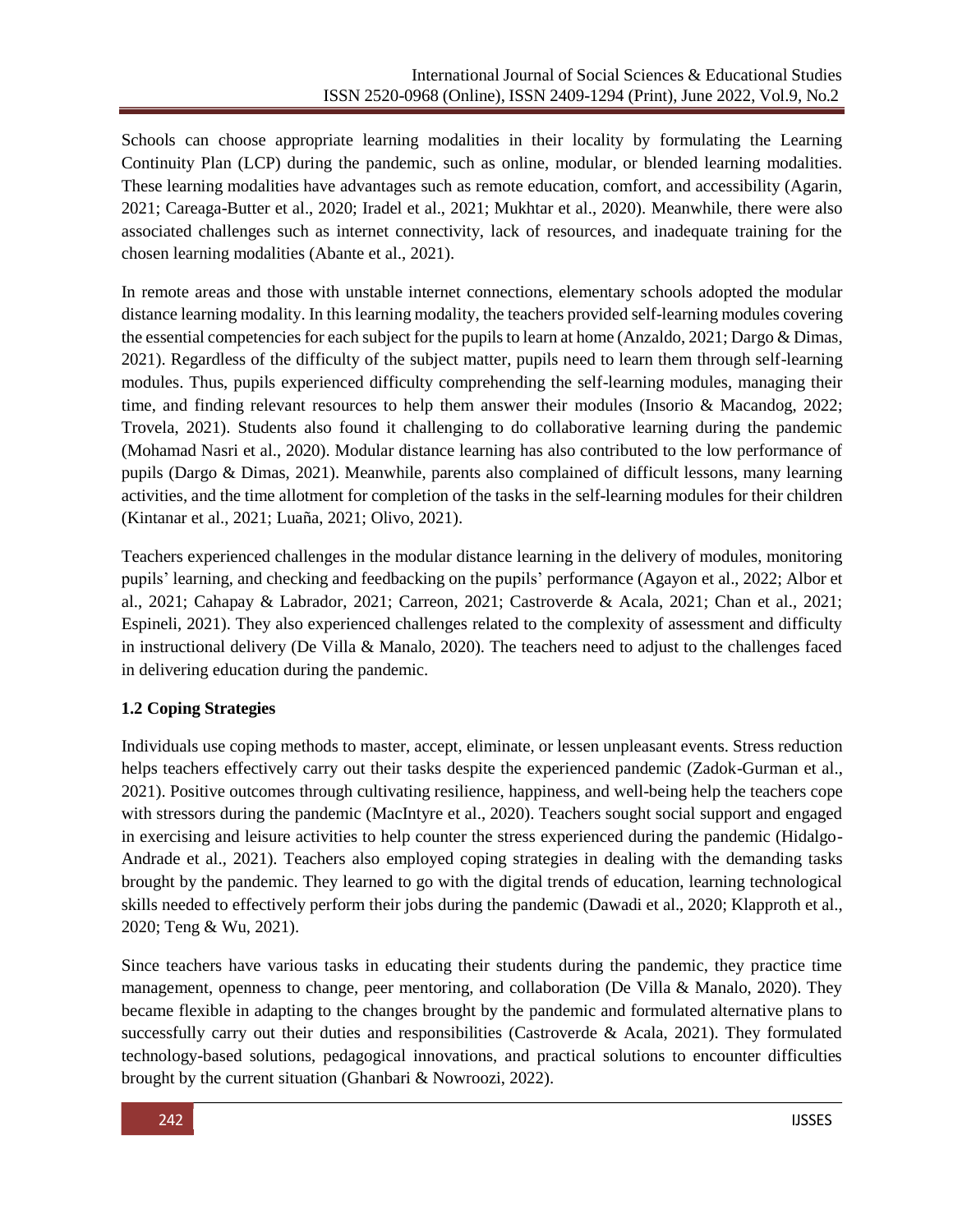Schools can choose appropriate learning modalities in their locality by formulating the Learning Continuity Plan (LCP) during the pandemic, such as online, modular, or blended learning modalities. These learning modalities have advantages such as remote education, comfort, and accessibility (Agarin, 2021; Careaga-Butter et al., 2020; Iradel et al., 2021; Mukhtar et al., 2020). Meanwhile, there were also associated challenges such as internet connectivity, lack of resources, and inadequate training for the chosen learning modalities (Abante et al., 2021).

In remote areas and those with unstable internet connections, elementary schools adopted the modular distance learning modality. In this learning modality, the teachers provided self-learning modules covering the essential competencies for each subject for the pupils to learn at home (Anzaldo, 2021; Dargo & Dimas, 2021). Regardless of the difficulty of the subject matter, pupils need to learn them through self-learning modules. Thus, pupils experienced difficulty comprehending the self-learning modules, managing their time, and finding relevant resources to help them answer their modules (Insorio & Macandog, 2022; Trovela, 2021). Students also found it challenging to do collaborative learning during the pandemic (Mohamad Nasri et al., 2020). Modular distance learning has also contributed to the low performance of pupils (Dargo & Dimas, 2021). Meanwhile, parents also complained of difficult lessons, many learning activities, and the time allotment for completion of the tasks in the self-learning modules for their children (Kintanar et al., 2021; Luaña, 2021; Olivo, 2021).

Teachers experienced challenges in the modular distance learning in the delivery of modules, monitoring pupils' learning, and checking and feedbacking on the pupils' performance (Agayon et al., 2022; Albor et al., 2021; Cahapay & Labrador, 2021; Carreon, 2021; Castroverde & Acala, 2021; Chan et al., 2021; Espineli, 2021). They also experienced challenges related to the complexity of assessment and difficulty in instructional delivery (De Villa & Manalo, 2020). The teachers need to adjust to the challenges faced in delivering education during the pandemic.

## **1.2 Coping Strategies**

Individuals use coping methods to master, accept, eliminate, or lessen unpleasant events. Stress reduction helps teachers effectively carry out their tasks despite the experienced pandemic (Zadok-Gurman et al., 2021). Positive outcomes through cultivating resilience, happiness, and well-being help the teachers cope with stressors during the pandemic (MacIntyre et al., 2020). Teachers sought social support and engaged in exercising and leisure activities to help counter the stress experienced during the pandemic (Hidalgo-Andrade et al., 2021). Teachers also employed coping strategies in dealing with the demanding tasks brought by the pandemic. They learned to go with the digital trends of education, learning technological skills needed to effectively perform their jobs during the pandemic (Dawadi et al., 2020; Klapproth et al., 2020; Teng & Wu, 2021).

Since teachers have various tasks in educating their students during the pandemic, they practice time management, openness to change, peer mentoring, and collaboration (De Villa & Manalo, 2020). They became flexible in adapting to the changes brought by the pandemic and formulated alternative plans to successfully carry out their duties and responsibilities (Castroverde & Acala, 2021). They formulated technology-based solutions, pedagogical innovations, and practical solutions to encounter difficulties brought by the current situation (Ghanbari & Nowroozi, 2022).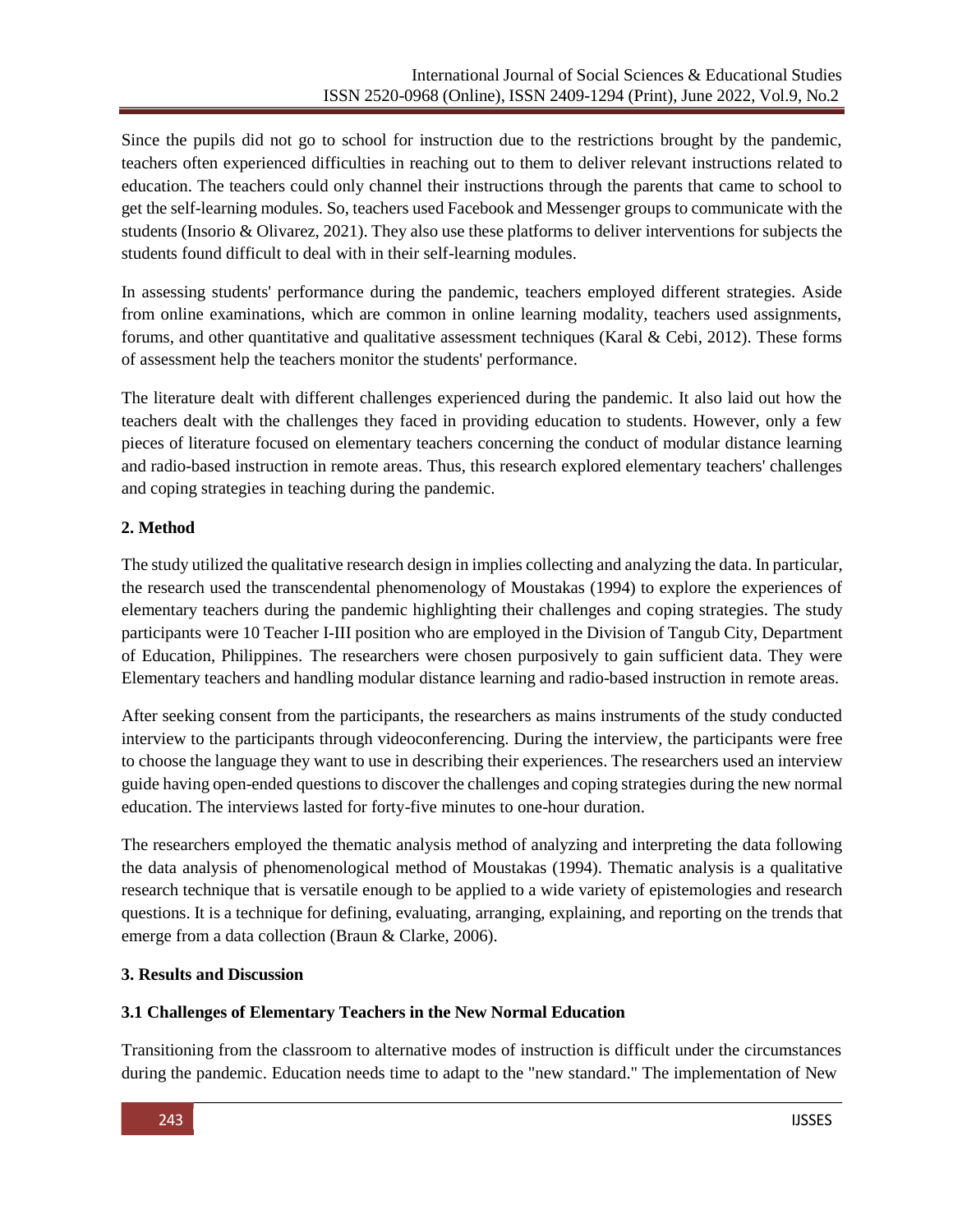Since the pupils did not go to school for instruction due to the restrictions brought by the pandemic, teachers often experienced difficulties in reaching out to them to deliver relevant instructions related to education. The teachers could only channel their instructions through the parents that came to school to get the self-learning modules. So, teachers used Facebook and Messenger groups to communicate with the students (Insorio & Olivarez, 2021). They also use these platforms to deliver interventions for subjects the students found difficult to deal with in their self-learning modules.

In assessing students' performance during the pandemic, teachers employed different strategies. Aside from online examinations, which are common in online learning modality, teachers used assignments, forums, and other quantitative and qualitative assessment techniques (Karal & Cebi, 2012). These forms of assessment help the teachers monitor the students' performance.

The literature dealt with different challenges experienced during the pandemic. It also laid out how the teachers dealt with the challenges they faced in providing education to students. However, only a few pieces of literature focused on elementary teachers concerning the conduct of modular distance learning and radio-based instruction in remote areas. Thus, this research explored elementary teachers' challenges and coping strategies in teaching during the pandemic.

## **2. Method**

The study utilized the qualitative research design in implies collecting and analyzing the data. In particular, the research used the transcendental phenomenology of Moustakas (1994) to explore the experiences of elementary teachers during the pandemic highlighting their challenges and coping strategies. The study participants were 10 Teacher I-III position who are employed in the Division of Tangub City, Department of Education, Philippines. The researchers were chosen purposively to gain sufficient data. They were Elementary teachers and handling modular distance learning and radio-based instruction in remote areas.

After seeking consent from the participants, the researchers as mains instruments of the study conducted interview to the participants through videoconferencing. During the interview, the participants were free to choose the language they want to use in describing their experiences. The researchers used an interview guide having open-ended questions to discover the challenges and coping strategies during the new normal education. The interviews lasted for forty-five minutes to one-hour duration.

The researchers employed the thematic analysis method of analyzing and interpreting the data following the data analysis of phenomenological method of Moustakas (1994). Thematic analysis is a qualitative research technique that is versatile enough to be applied to a wide variety of epistemologies and research questions. It is a technique for defining, evaluating, arranging, explaining, and reporting on the trends that emerge from a data collection (Braun & Clarke, 2006).

## **3. Results and Discussion**

## **3.1 Challenges of Elementary Teachers in the New Normal Education**

Transitioning from the classroom to alternative modes of instruction is difficult under the circumstances during the pandemic. Education needs time to adapt to the "new standard." The implementation of New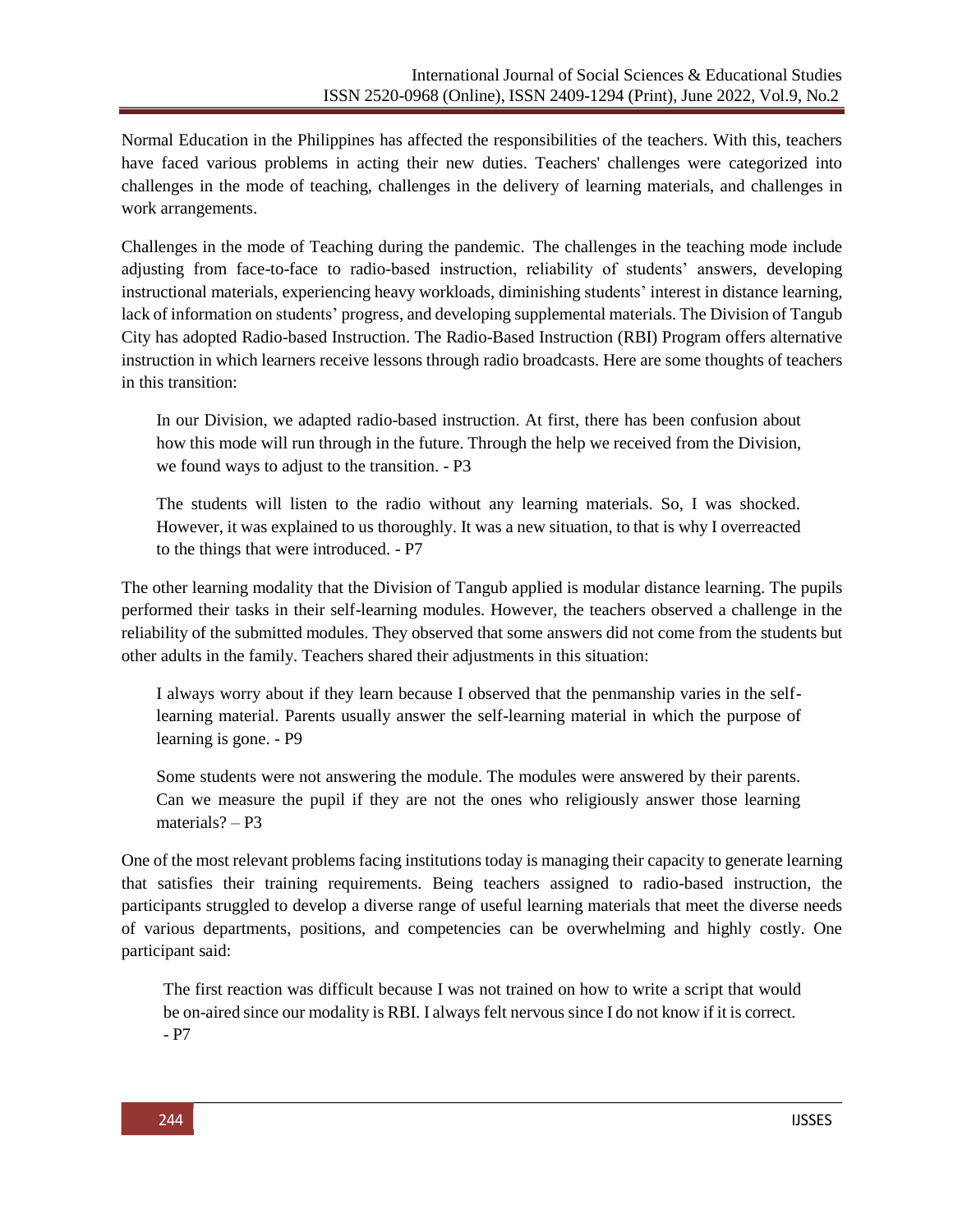Normal Education in the Philippines has affected the responsibilities of the teachers. With this, teachers have faced various problems in acting their new duties. Teachers' challenges were categorized into challenges in the mode of teaching, challenges in the delivery of learning materials, and challenges in work arrangements.

Challenges in the mode of Teaching during the pandemic. The challenges in the teaching mode include adjusting from face-to-face to radio-based instruction, reliability of students' answers, developing instructional materials, experiencing heavy workloads, diminishing students' interest in distance learning, lack of information on students' progress, and developing supplemental materials. The Division of Tangub City has adopted Radio-based Instruction. The Radio-Based Instruction (RBI) Program offers alternative instruction in which learners receive lessons through radio broadcasts. Here are some thoughts of teachers in this transition:

In our Division, we adapted radio-based instruction. At first, there has been confusion about how this mode will run through in the future. Through the help we received from the Division, we found ways to adjust to the transition. - P3

The students will listen to the radio without any learning materials. So, I was shocked. However, it was explained to us thoroughly. It was a new situation, to that is why I overreacted to the things that were introduced. - P7

The other learning modality that the Division of Tangub applied is modular distance learning. The pupils performed their tasks in their self-learning modules. However, the teachers observed a challenge in the reliability of the submitted modules. They observed that some answers did not come from the students but other adults in the family. Teachers shared their adjustments in this situation:

I always worry about if they learn because I observed that the penmanship varies in the selflearning material. Parents usually answer the self-learning material in which the purpose of learning is gone. - P9

Some students were not answering the module. The modules were answered by their parents. Can we measure the pupil if they are not the ones who religiously answer those learning materials? – P3

One of the most relevant problems facing institutions today is managing their capacity to generate learning that satisfies their training requirements. Being teachers assigned to radio-based instruction, the participants struggled to develop a diverse range of useful learning materials that meet the diverse needs of various departments, positions, and competencies can be overwhelming and highly costly. One participant said:

The first reaction was difficult because I was not trained on how to write a script that would be on-aired since our modality is RBI. I always felt nervous since I do not know if it is correct. - P7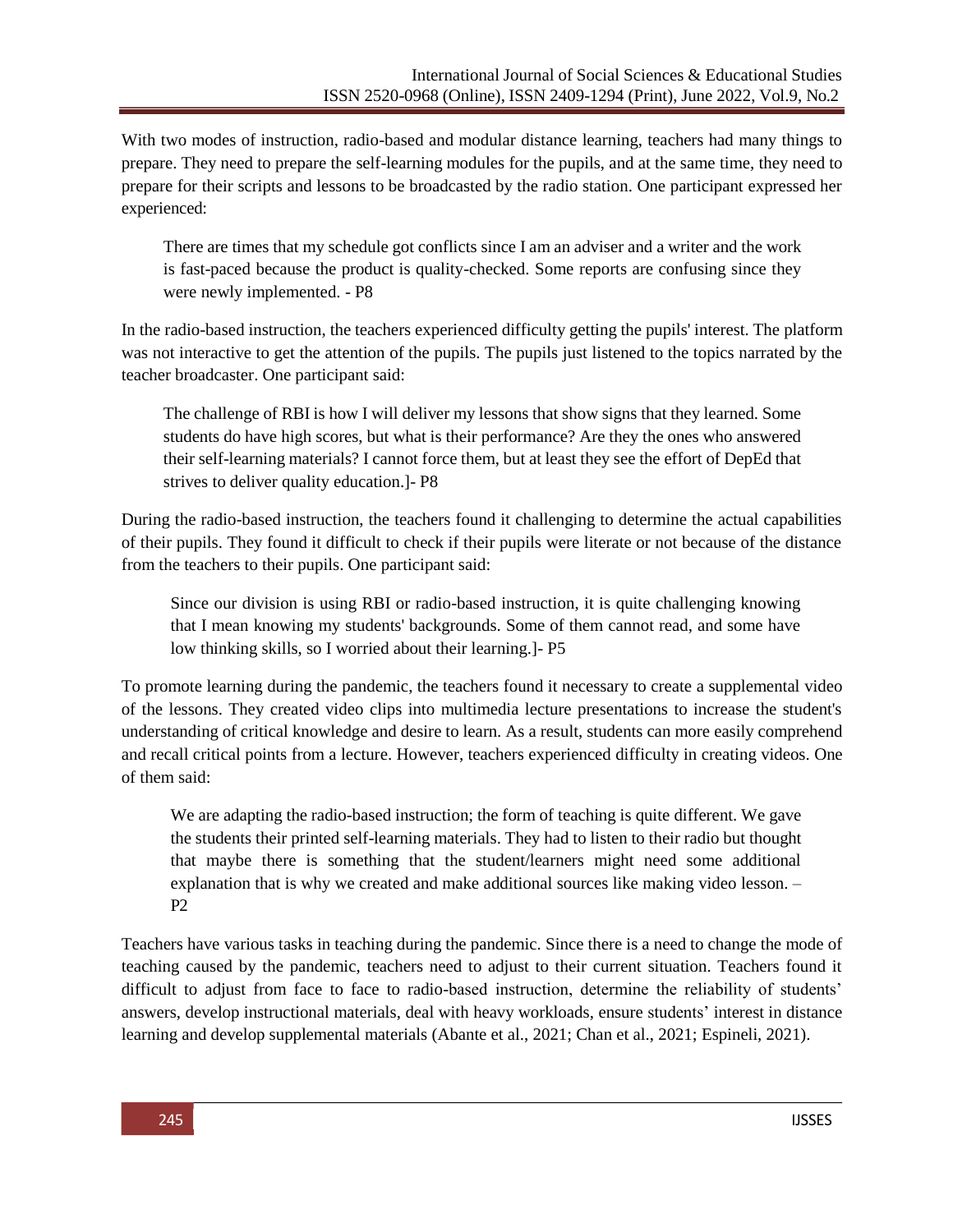With two modes of instruction, radio-based and modular distance learning, teachers had many things to prepare. They need to prepare the self-learning modules for the pupils, and at the same time, they need to prepare for their scripts and lessons to be broadcasted by the radio station. One participant expressed her experienced:

There are times that my schedule got conflicts since I am an adviser and a writer and the work is fast-paced because the product is quality-checked. Some reports are confusing since they were newly implemented. - P8

In the radio-based instruction, the teachers experienced difficulty getting the pupils' interest. The platform was not interactive to get the attention of the pupils. The pupils just listened to the topics narrated by the teacher broadcaster. One participant said:

The challenge of RBI is how I will deliver my lessons that show signs that they learned. Some students do have high scores, but what is their performance? Are they the ones who answered their self-learning materials? I cannot force them, but at least they see the effort of DepEd that strives to deliver quality education.]- P8

During the radio-based instruction, the teachers found it challenging to determine the actual capabilities of their pupils. They found it difficult to check if their pupils were literate or not because of the distance from the teachers to their pupils. One participant said:

Since our division is using RBI or radio-based instruction, it is quite challenging knowing that I mean knowing my students' backgrounds. Some of them cannot read, and some have low thinking skills, so I worried about their learning.]- P5

To promote learning during the pandemic, the teachers found it necessary to create a supplemental video of the lessons. They created video clips into multimedia lecture presentations to increase the student's understanding of critical knowledge and desire to learn. As a result, students can more easily comprehend and recall critical points from a lecture. However, teachers experienced difficulty in creating videos. One of them said:

We are adapting the radio-based instruction; the form of teaching is quite different. We gave the students their printed self-learning materials. They had to listen to their radio but thought that maybe there is something that the student/learners might need some additional explanation that is why we created and make additional sources like making video lesson. –  $P2$ 

Teachers have various tasks in teaching during the pandemic. Since there is a need to change the mode of teaching caused by the pandemic, teachers need to adjust to their current situation. Teachers found it difficult to adjust from face to face to radio-based instruction, determine the reliability of students' answers, develop instructional materials, deal with heavy workloads, ensure students' interest in distance learning and develop supplemental materials (Abante et al., 2021; Chan et al., 2021; Espineli, 2021).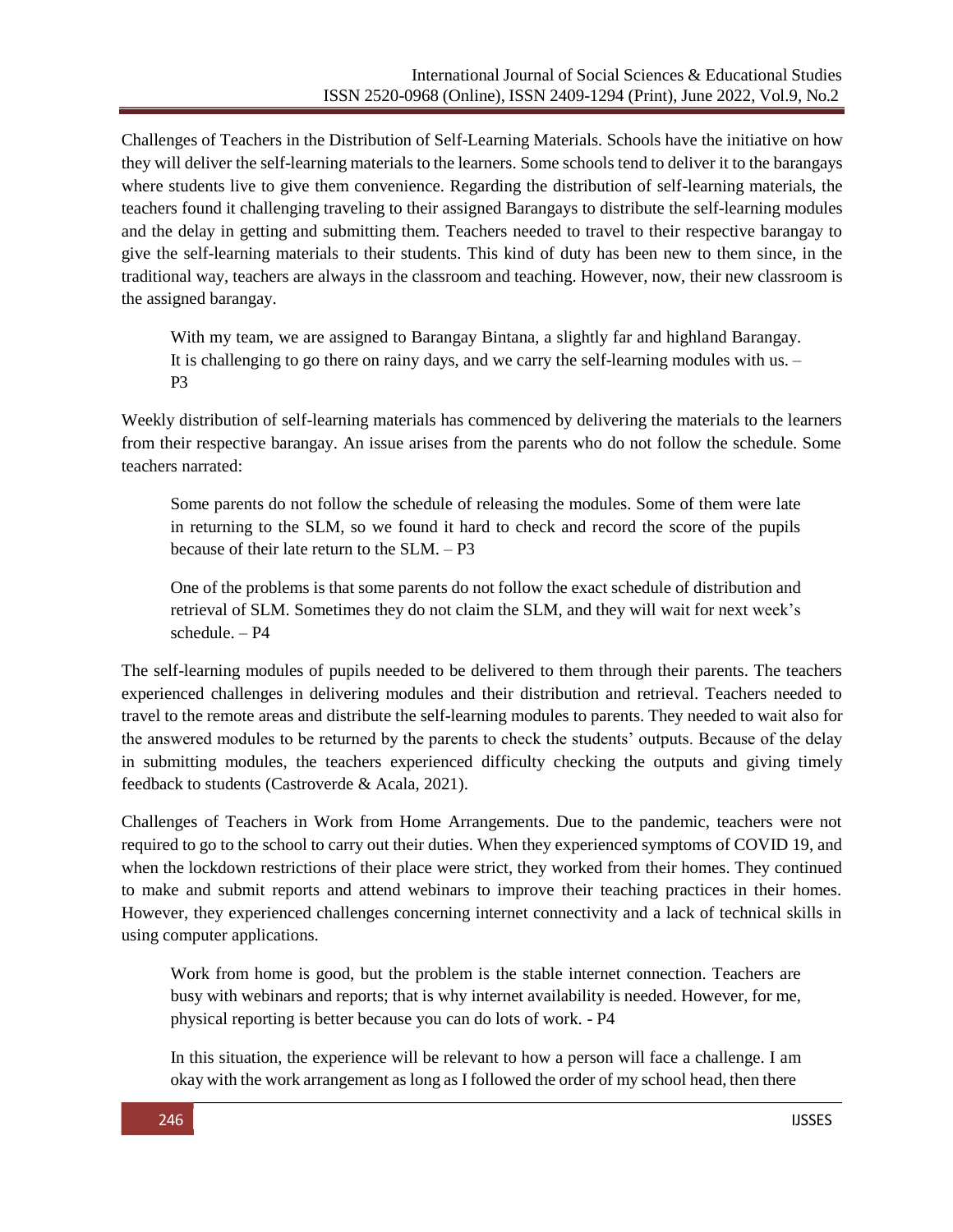Challenges of Teachers in the Distribution of Self-Learning Materials. Schools have the initiative on how they will deliver the self-learning materials to the learners. Some schools tend to deliver it to the barangays where students live to give them convenience. Regarding the distribution of self-learning materials, the teachers found it challenging traveling to their assigned Barangays to distribute the self-learning modules and the delay in getting and submitting them. Teachers needed to travel to their respective barangay to give the self-learning materials to their students. This kind of duty has been new to them since, in the traditional way, teachers are always in the classroom and teaching. However, now, their new classroom is the assigned barangay.

With my team, we are assigned to Barangay Bintana, a slightly far and highland Barangay. It is challenging to go there on rainy days, and we carry the self-learning modules with us. – P3

Weekly distribution of self-learning materials has commenced by delivering the materials to the learners from their respective barangay. An issue arises from the parents who do not follow the schedule. Some teachers narrated:

Some parents do not follow the schedule of releasing the modules. Some of them were late in returning to the SLM, so we found it hard to check and record the score of the pupils because of their late return to the SLM. – P3

One of the problems is that some parents do not follow the exact schedule of distribution and retrieval of SLM. Sometimes they do not claim the SLM, and they will wait for next week's schedule. – P4

The self-learning modules of pupils needed to be delivered to them through their parents. The teachers experienced challenges in delivering modules and their distribution and retrieval. Teachers needed to travel to the remote areas and distribute the self-learning modules to parents. They needed to wait also for the answered modules to be returned by the parents to check the students' outputs. Because of the delay in submitting modules, the teachers experienced difficulty checking the outputs and giving timely feedback to students (Castroverde & Acala, 2021).

Challenges of Teachers in Work from Home Arrangements. Due to the pandemic, teachers were not required to go to the school to carry out their duties. When they experienced symptoms of COVID 19, and when the lockdown restrictions of their place were strict, they worked from their homes. They continued to make and submit reports and attend webinars to improve their teaching practices in their homes. However, they experienced challenges concerning internet connectivity and a lack of technical skills in using computer applications.

Work from home is good, but the problem is the stable internet connection. Teachers are busy with webinars and reports; that is why internet availability is needed. However, for me, physical reporting is better because you can do lots of work. - P4

In this situation, the experience will be relevant to how a person will face a challenge. I am okay with the work arrangement as long as I followed the order of my school head, then there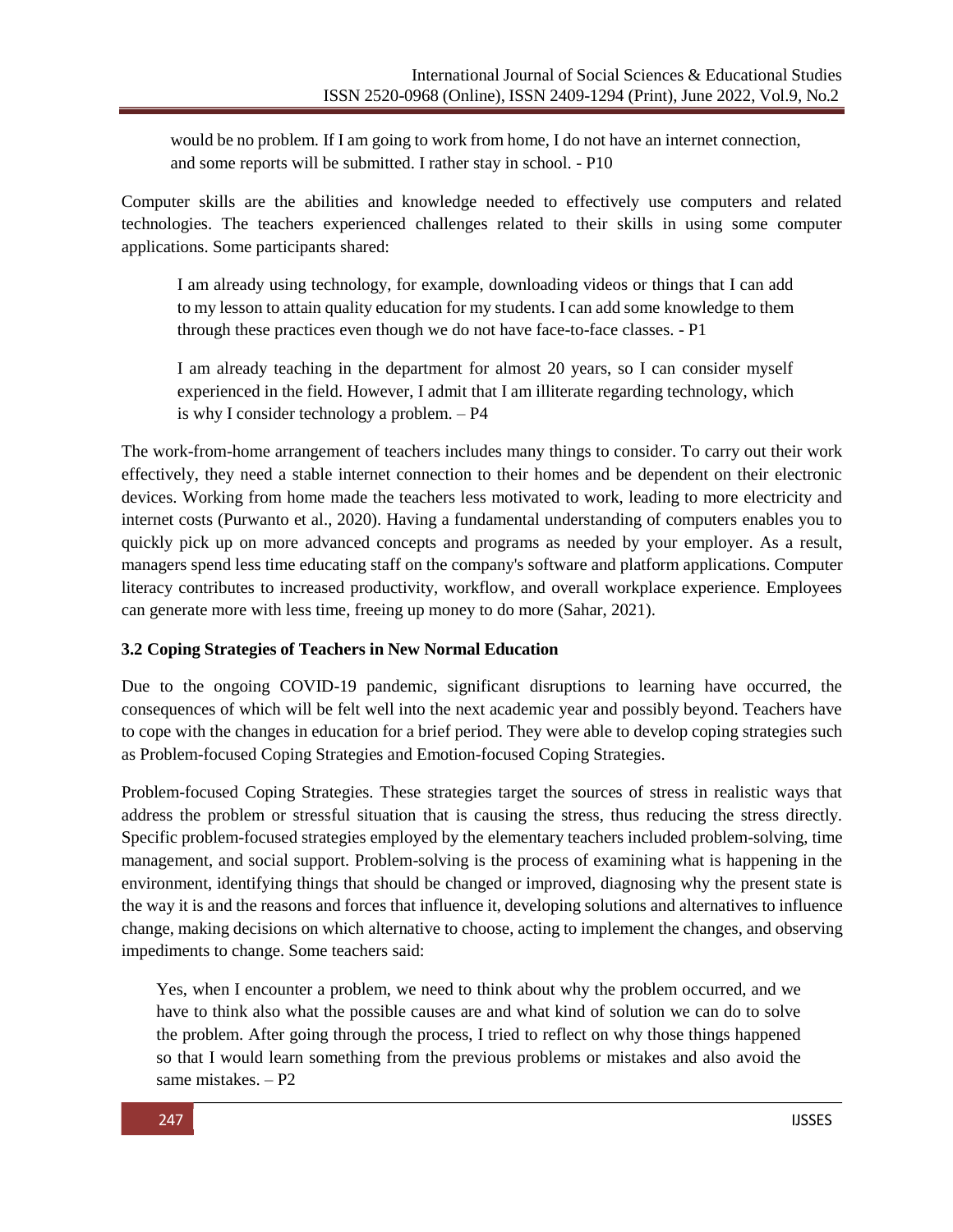would be no problem. If I am going to work from home, I do not have an internet connection, and some reports will be submitted. I rather stay in school. - P10

Computer skills are the abilities and knowledge needed to effectively use computers and related technologies. The teachers experienced challenges related to their skills in using some computer applications. Some participants shared:

I am already using technology, for example, downloading videos or things that I can add to my lesson to attain quality education for my students. I can add some knowledge to them through these practices even though we do not have face-to-face classes. - P1

I am already teaching in the department for almost 20 years, so I can consider myself experienced in the field. However, I admit that I am illiterate regarding technology, which is why I consider technology a problem. – P4

The work-from-home arrangement of teachers includes many things to consider. To carry out their work effectively, they need a stable internet connection to their homes and be dependent on their electronic devices. Working from home made the teachers less motivated to work, leading to more electricity and internet costs (Purwanto et al., 2020). Having a fundamental understanding of computers enables you to quickly pick up on more advanced concepts and programs as needed by your employer. As a result, managers spend less time educating staff on the company's software and platform applications. Computer literacy contributes to increased productivity, workflow, and overall workplace experience. Employees can generate more with less time, freeing up money to do more (Sahar, 2021).

## **3.2 Coping Strategies of Teachers in New Normal Education**

Due to the ongoing COVID-19 pandemic, significant disruptions to learning have occurred, the consequences of which will be felt well into the next academic year and possibly beyond. Teachers have to cope with the changes in education for a brief period. They were able to develop coping strategies such as Problem-focused Coping Strategies and Emotion-focused Coping Strategies.

Problem-focused Coping Strategies. These strategies target the sources of stress in realistic ways that address the problem or stressful situation that is causing the stress, thus reducing the stress directly. Specific problem-focused strategies employed by the elementary teachers included problem-solving, time management, and social support. Problem-solving is the process of examining what is happening in the environment, identifying things that should be changed or improved, diagnosing why the present state is the way it is and the reasons and forces that influence it, developing solutions and alternatives to influence change, making decisions on which alternative to choose, acting to implement the changes, and observing impediments to change. Some teachers said:

Yes, when I encounter a problem, we need to think about why the problem occurred, and we have to think also what the possible causes are and what kind of solution we can do to solve the problem. After going through the process, I tried to reflect on why those things happened so that I would learn something from the previous problems or mistakes and also avoid the same mistakes. – P2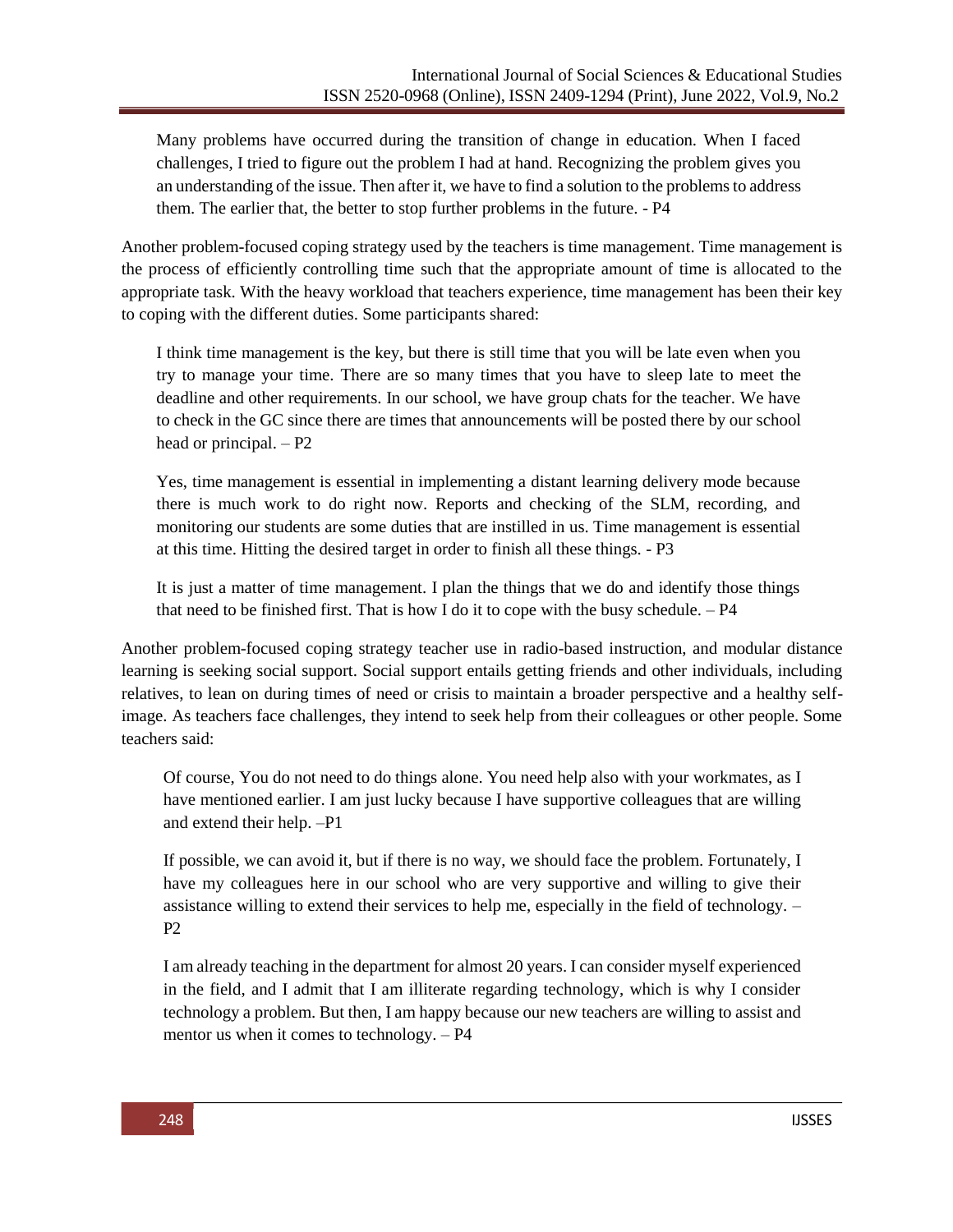Many problems have occurred during the transition of change in education. When I faced challenges, I tried to figure out the problem I had at hand. Recognizing the problem gives you an understanding of the issue. Then after it, we have to find a solution to the problemsto address them. The earlier that, the better to stop further problems in the future. - P4

Another problem-focused coping strategy used by the teachers is time management. Time management is the process of efficiently controlling time such that the appropriate amount of time is allocated to the appropriate task. With the heavy workload that teachers experience, time management has been their key to coping with the different duties. Some participants shared:

I think time management is the key, but there is still time that you will be late even when you try to manage your time. There are so many times that you have to sleep late to meet the deadline and other requirements. In our school, we have group chats for the teacher. We have to check in the GC since there are times that announcements will be posted there by our school head or principal. – P2

Yes, time management is essential in implementing a distant learning delivery mode because there is much work to do right now. Reports and checking of the SLM, recording, and monitoring our students are some duties that are instilled in us. Time management is essential at this time. Hitting the desired target in order to finish all these things. - P3

It is just a matter of time management. I plan the things that we do and identify those things that need to be finished first. That is how I do it to cope with the busy schedule.  $- P4$ 

Another problem-focused coping strategy teacher use in radio-based instruction, and modular distance learning is seeking social support. Social support entails getting friends and other individuals, including relatives, to lean on during times of need or crisis to maintain a broader perspective and a healthy selfimage. As teachers face challenges, they intend to seek help from their colleagues or other people. Some teachers said:

Of course, You do not need to do things alone. You need help also with your workmates, as I have mentioned earlier. I am just lucky because I have supportive colleagues that are willing and extend their help. –P1

If possible, we can avoid it, but if there is no way, we should face the problem. Fortunately, I have my colleagues here in our school who are very supportive and willing to give their assistance willing to extend their services to help me, especially in the field of technology. – P2

I am already teaching in the department for almost 20 years. I can consider myself experienced in the field, and I admit that I am illiterate regarding technology, which is why I consider technology a problem. But then, I am happy because our new teachers are willing to assist and mentor us when it comes to technology. – P4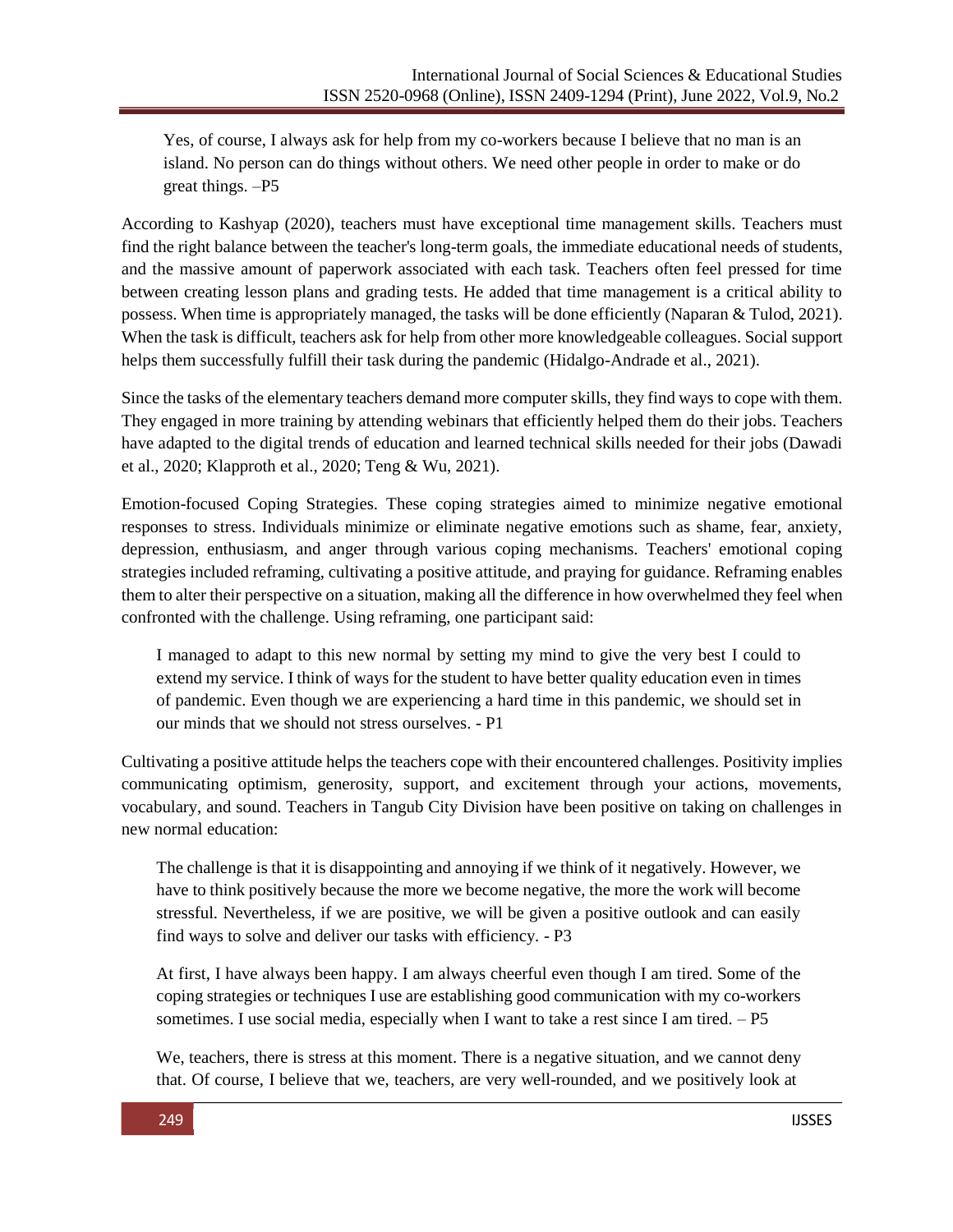Yes, of course, I always ask for help from my co-workers because I believe that no man is an island. No person can do things without others. We need other people in order to make or do great things. –P5

According to Kashyap (2020), teachers must have exceptional time management skills. Teachers must find the right balance between the teacher's long-term goals, the immediate educational needs of students, and the massive amount of paperwork associated with each task. Teachers often feel pressed for time between creating lesson plans and grading tests. He added that time management is a critical ability to possess. When time is appropriately managed, the tasks will be done efficiently (Naparan & Tulod, 2021). When the task is difficult, teachers ask for help from other more knowledgeable colleagues. Social support helps them successfully fulfill their task during the pandemic (Hidalgo-Andrade et al., 2021).

Since the tasks of the elementary teachers demand more computer skills, they find ways to cope with them. They engaged in more training by attending webinars that efficiently helped them do their jobs. Teachers have adapted to the digital trends of education and learned technical skills needed for their jobs (Dawadi et al., 2020; Klapproth et al., 2020; Teng & Wu, 2021).

Emotion-focused Coping Strategies. These coping strategies aimed to minimize negative emotional responses to stress. Individuals minimize or eliminate negative emotions such as shame, fear, anxiety, depression, enthusiasm, and anger through various coping mechanisms. Teachers' emotional coping strategies included reframing, cultivating a positive attitude, and praying for guidance. Reframing enables them to alter their perspective on a situation, making all the difference in how overwhelmed they feel when confronted with the challenge. Using reframing, one participant said:

I managed to adapt to this new normal by setting my mind to give the very best I could to extend my service. I think of ways for the student to have better quality education even in times of pandemic. Even though we are experiencing a hard time in this pandemic, we should set in our minds that we should not stress ourselves. - P1

Cultivating a positive attitude helps the teachers cope with their encountered challenges. Positivity implies communicating optimism, generosity, support, and excitement through your actions, movements, vocabulary, and sound. Teachers in Tangub City Division have been positive on taking on challenges in new normal education:

The challenge is that it is disappointing and annoying if we think of it negatively. However, we have to think positively because the more we become negative, the more the work will become stressful. Nevertheless, if we are positive, we will be given a positive outlook and can easily find ways to solve and deliver our tasks with efficiency. - P3

At first, I have always been happy. I am always cheerful even though I am tired. Some of the coping strategies or techniques I use are establishing good communication with my co-workers sometimes. I use social media, especially when I want to take a rest since I am tired.  $- P5$ 

We, teachers, there is stress at this moment. There is a negative situation, and we cannot deny that. Of course, I believe that we, teachers, are very well-rounded, and we positively look at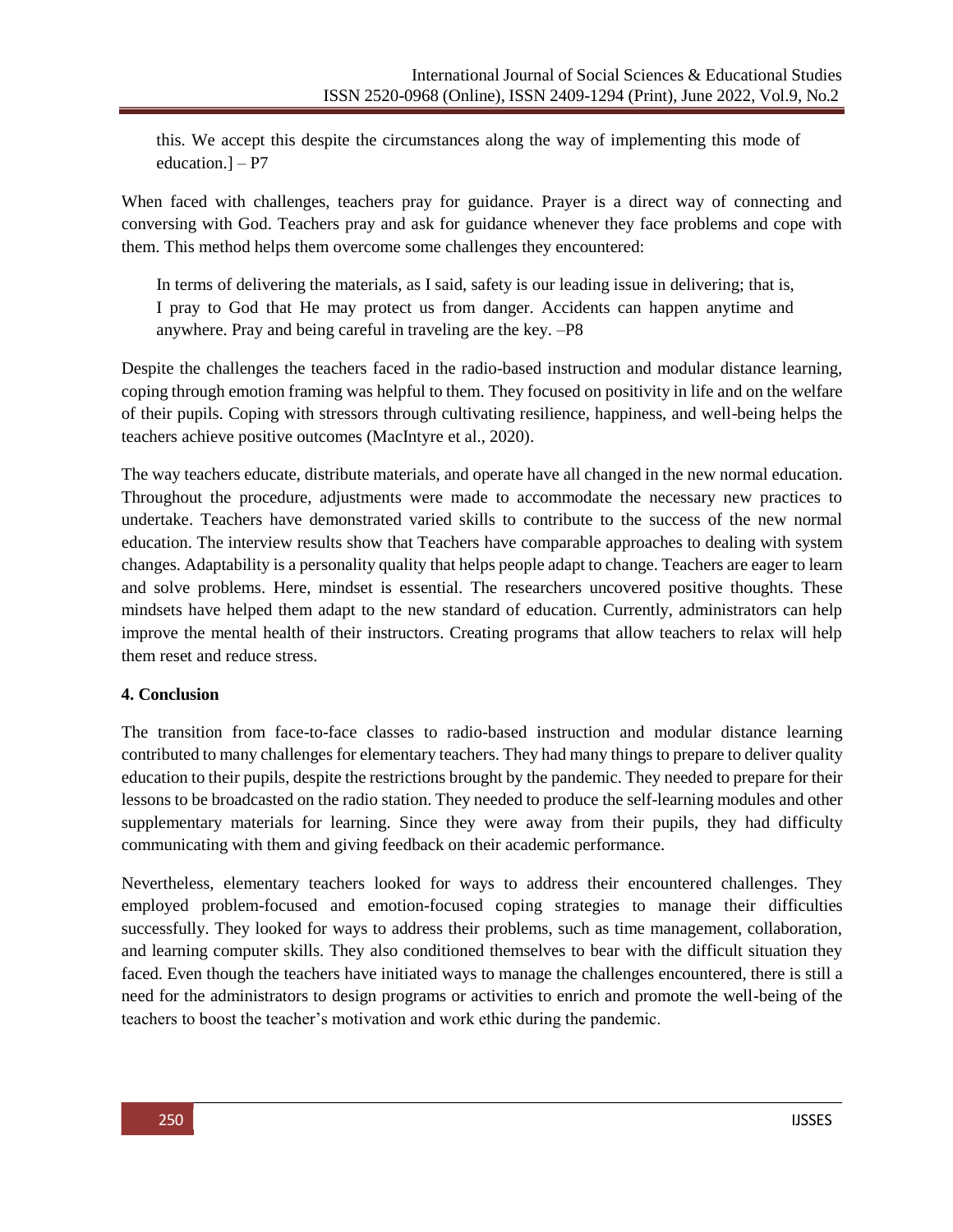this. We accept this despite the circumstances along the way of implementing this mode of education.] – P7

When faced with challenges, teachers pray for guidance. Prayer is a direct way of connecting and conversing with God. Teachers pray and ask for guidance whenever they face problems and cope with them. This method helps them overcome some challenges they encountered:

In terms of delivering the materials, as I said, safety is our leading issue in delivering; that is, I pray to God that He may protect us from danger. Accidents can happen anytime and anywhere. Pray and being careful in traveling are the key. –P8

Despite the challenges the teachers faced in the radio-based instruction and modular distance learning, coping through emotion framing was helpful to them. They focused on positivity in life and on the welfare of their pupils. Coping with stressors through cultivating resilience, happiness, and well-being helps the teachers achieve positive outcomes (MacIntyre et al., 2020).

The way teachers educate, distribute materials, and operate have all changed in the new normal education. Throughout the procedure, adjustments were made to accommodate the necessary new practices to undertake. Teachers have demonstrated varied skills to contribute to the success of the new normal education. The interview results show that Teachers have comparable approaches to dealing with system changes. Adaptability is a personality quality that helps people adapt to change. Teachers are eager to learn and solve problems. Here, mindset is essential. The researchers uncovered positive thoughts. These mindsets have helped them adapt to the new standard of education. Currently, administrators can help improve the mental health of their instructors. Creating programs that allow teachers to relax will help them reset and reduce stress.

#### **4. Conclusion**

The transition from face-to-face classes to radio-based instruction and modular distance learning contributed to many challenges for elementary teachers. They had many things to prepare to deliver quality education to their pupils, despite the restrictions brought by the pandemic. They needed to prepare for their lessons to be broadcasted on the radio station. They needed to produce the self-learning modules and other supplementary materials for learning. Since they were away from their pupils, they had difficulty communicating with them and giving feedback on their academic performance.

Nevertheless, elementary teachers looked for ways to address their encountered challenges. They employed problem-focused and emotion-focused coping strategies to manage their difficulties successfully. They looked for ways to address their problems, such as time management, collaboration, and learning computer skills. They also conditioned themselves to bear with the difficult situation they faced. Even though the teachers have initiated ways to manage the challenges encountered, there is still a need for the administrators to design programs or activities to enrich and promote the well-being of the teachers to boost the teacher's motivation and work ethic during the pandemic.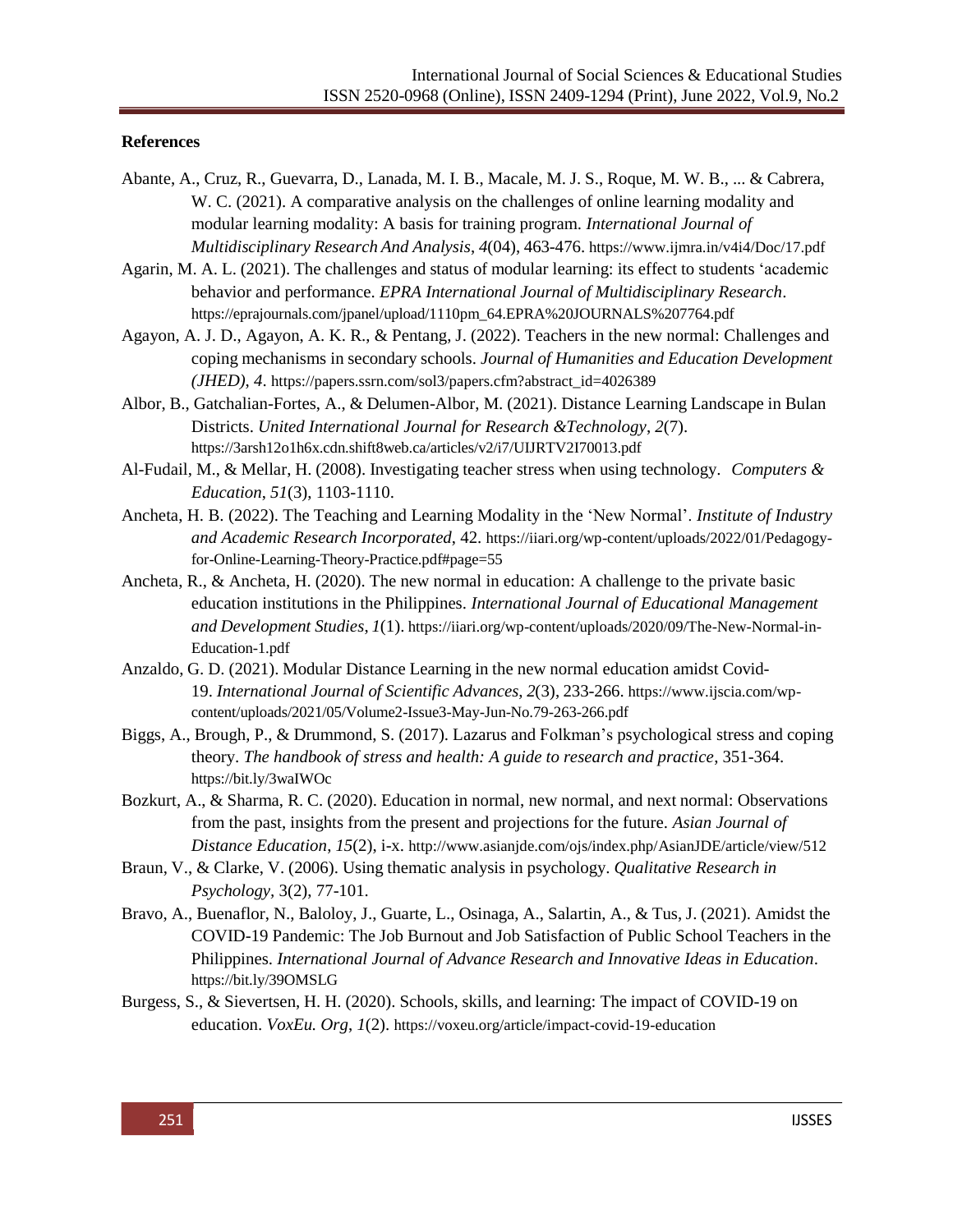#### **References**

- Abante, A., Cruz, R., Guevarra, D., Lanada, M. I. B., Macale, M. J. S., Roque, M. W. B., ... & Cabrera, W. C. (2021). A comparative analysis on the challenges of online learning modality and modular learning modality: A basis for training program. *International Journal of Multidisciplinary Research And Analysis*, *4*(04), 463-476. <https://www.ijmra.in/v4i4/Doc/17.pdf>
- Agarin, M. A. L. (2021). The challenges and status of modular learning: its effect to students 'academic behavior and performance. *EPRA International Journal of Multidisciplinary Research*. [https://eprajournals.com/jpanel/upload/1110pm\\_64.EPRA%20JOURNALS%207764.pdf](https://eprajournals.com/jpanel/upload/1110pm_64.EPRA%20JOURNALS%207764.pdf)
- Agayon, A. J. D., Agayon, A. K. R., & Pentang, J. (2022). Teachers in the new normal: Challenges and coping mechanisms in secondary schools. *Journal of Humanities and Education Development (JHED)*, *4*. [https://papers.ssrn.com/sol3/papers.cfm?abstract\\_id=4026389](https://papers.ssrn.com/sol3/papers.cfm?abstract_id=4026389)
- Albor, B., Gatchalian-Fortes, A., & Delumen-Albor, M. (2021). Distance Learning Landscape in Bulan Districts. *United International Journal for Research &Technology*, *2*(7). <https://3arsh12o1h6x.cdn.shift8web.ca/articles/v2/i7/UIJRTV2I70013.pdf>
- Al-Fudail, M., & Mellar, H. (2008). Investigating teacher stress when using technology. *Computers & Education*, *51*(3), 1103-1110.
- Ancheta, H. B. (2022). The Teaching and Learning Modality in the 'New Normal'. *Institute of Industry and Academic Research Incorporated*, 42. [https://iiari.org/wp-content/uploads/2022/01/Pedagogy](https://iiari.org/wp-content/uploads/2022/01/Pedagogy-for-Online-Learning-Theory-Practice.pdf#page%3D55)[for-Online-Learning-Theory-Practice.pdf#page=55](https://iiari.org/wp-content/uploads/2022/01/Pedagogy-for-Online-Learning-Theory-Practice.pdf#page%3D55)
- Ancheta, R., & Ancheta, H. (2020). The new normal in education: A challenge to the private basic education institutions in the Philippines. *International Journal of Educational Management and Development Studies*, *1*(1). [https://iiari.org/wp-content/uploads/2020/09/The-New-Normal-in-](https://iiari.org/wp-content/uploads/2020/09/The-New-Normal-in-Education-1.pdf)[Education-1.pdf](https://iiari.org/wp-content/uploads/2020/09/The-New-Normal-in-Education-1.pdf)
- Anzaldo, G. D. (2021). Modular Distance Learning in the new normal education amidst Covid-19. *International Journal of Scientific Advances*, *2*(3), 233-266. [https://www.ijscia.com/wp](https://www.ijscia.com/wp-content/uploads/2021/05/Volume2-Issue3-May-Jun-No.79-263-266.pdf)[content/uploads/2021/05/Volume2-Issue3-May-Jun-No.79-263-266.pdf](https://www.ijscia.com/wp-content/uploads/2021/05/Volume2-Issue3-May-Jun-No.79-263-266.pdf)
- Biggs, A., Brough, P., & Drummond, S. (2017). Lazarus and Folkman's psychological stress and coping theory. *The handbook of stress and health: A guide to research and practice*, 351-364. <https://bit.ly/3waIWOc>
- Bozkurt, A., & Sharma, R. C. (2020). Education in normal, new normal, and next normal: Observations from the past, insights from the present and projections for the future. *Asian Journal of Distance Education*, *15*(2), i-x. <http://www.asianjde.com/ojs/index.php/AsianJDE/article/view/512>
- Braun, V., & Clarke, V. (2006). Using thematic analysis in psychology. *Qualitative Research in Psychology,* 3(2), 77-101.
- Bravo, A., Buenaflor, N., Baloloy, J., Guarte, L., Osinaga, A., Salartin, A., & Tus, J. (2021). Amidst the COVID-19 Pandemic: The Job Burnout and Job Satisfaction of Public School Teachers in the Philippines. *International Journal of Advance Research and Innovative Ideas in Education*. <https://bit.ly/39OMSLG>
- Burgess, S., & Sievertsen, H. H. (2020). Schools, skills, and learning: The impact of COVID-19 on education. *VoxEu. Org*, *1*(2). <https://voxeu.org/article/impact-covid-19-education>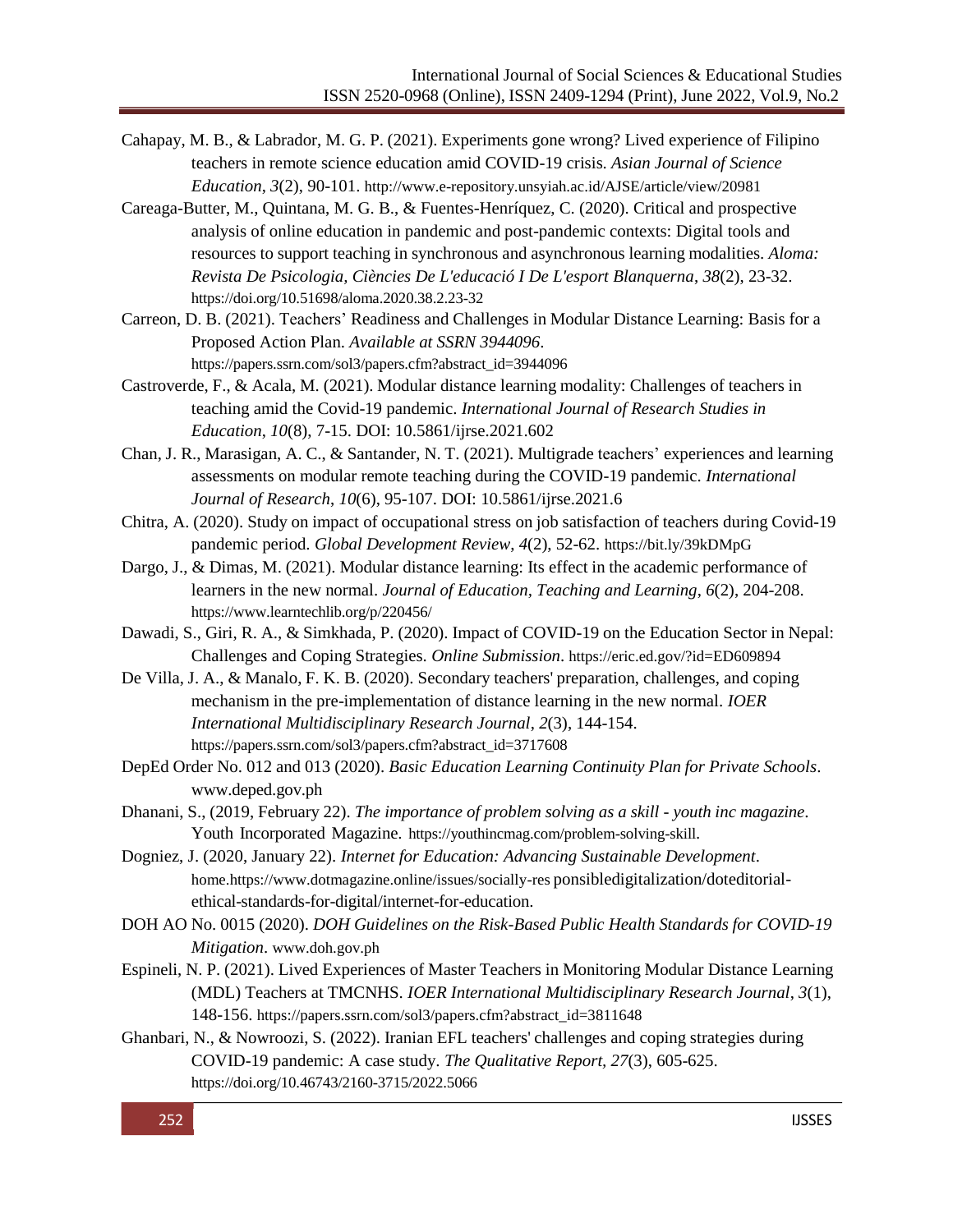- Cahapay, M. B., & Labrador, M. G. P. (2021). Experiments gone wrong? Lived experience of Filipino teachers in remote science education amid COVID-19 crisis. *Asian Journal of Science Education*, *3*(2), 90-101. <http://www.e-repository.unsyiah.ac.id/AJSE/article/view/20981>
- Careaga-Butter, M., Quintana, M. G. B., & Fuentes-Henríquez, C. (2020). Critical and prospective analysis of online education in pandemic and post-pandemic contexts: Digital tools and resources to support teaching in synchronous and asynchronous learning modalities. *Aloma: Revista De Psicologia, Ciències De L'educació I De L'esport Blanquerna*, *38*(2), 23-32. <https://doi.org/10.51698/aloma.2020.38.2.23-32>
- Carreon, D. B. (2021). Teachers' Readiness and Challenges in Modular Distance Learning: Basis for a Proposed Action Plan. *Available at SSRN 3944096*. [https://papers.ssrn.com/sol3/papers.cfm?abstract\\_id=3944096](https://papers.ssrn.com/sol3/papers.cfm?abstract_id=3944096)
- Castroverde, F., & Acala, M. (2021). Modular distance learning modality: Challenges of teachers in teaching amid the Covid-19 pandemic. *International Journal of Research Studies in Education*, *10*(8), 7-15. DOI: 10.5861/ijrse.2021.602
- Chan, J. R., Marasigan, A. C., & Santander, N. T. (2021). Multigrade teachers' experiences and learning assessments on modular remote teaching during the COVID-19 pandemic. *International Journal of Research*, *10*(6), 95-107. DOI: 10.5861/ijrse.2021.6
- Chitra, A. (2020). Study on impact of occupational stress on job satisfaction of teachers during Covid-19 pandemic period. *Global Development Review*, *4*(2), 52-62. https://bit.ly/39kDMpG
- Dargo, J., & Dimas, M. (2021). Modular distance learning: Its effect in the academic performance of learners in the new normal. *Journal of Education, Teaching and Learning*, *6*(2), 204-208. <https://www.learntechlib.org/p/220456/>
- Dawadi, S., Giri, R. A., & Simkhada, P. (2020). Impact of COVID-19 on the Education Sector in Nepal: Challenges and Coping Strategies. *Online Submission*. <https://eric.ed.gov/?id=ED609894>
- De Villa, J. A., & Manalo, F. K. B. (2020). Secondary teachers' preparation, challenges, and coping mechanism in the pre-implementation of distance learning in the new normal. *IOER International Multidisciplinary Research Journal*, *2*(3), 144-154. [https://papers.ssrn.com/sol3/papers.cfm?abstract\\_id=3717608](https://papers.ssrn.com/sol3/papers.cfm?abstract_id=3717608)
- DepEd Order No. 012 and 013 (2020). *Basic Education Learning Continuity Plan for Private Schools*. [www.deped.gov.ph](http://www.deped.gov.ph/)
- Dhanani, S., (2019, February 22). *The importance of problem solving as a skill - youth inc magazine*. Youth Incorporated Magazine. <https://youthincmag.com/problem-solving-skill>.
- Dogniez, J. (2020, January 22). *Internet for Education: Advancing Sustainable Development*. [home.https://www.dotmagazine.online/issues/socially-res](http://home.https/www.dotmagazine.online/issues/socially-res) ponsibledigitalization/doteditorialethical-standards-for-digital/internet-for-education.
- DOH AO No. 0015 (2020). *DOH Guidelines on the Risk-Based Public Health Standards for COVID-19 Mitigation*. [www.doh.gov.ph](http://www.doh.gov.ph/)
- Espineli, N. P. (2021). Lived Experiences of Master Teachers in Monitoring Modular Distance Learning (MDL) Teachers at TMCNHS. *IOER International Multidisciplinary Research Journal*, *3*(1), 148-156. [https://papers.ssrn.com/sol3/papers.cfm?abstract\\_id=3811648](https://papers.ssrn.com/sol3/papers.cfm?abstract_id=3811648)
- Ghanbari, N., & Nowroozi, S. (2022). Iranian EFL teachers' challenges and coping strategies during COVID-19 pandemic: A case study. *The Qualitative Report, 27*(3), 605-625. <https://doi.org/10.46743/2160-3715/2022.5066>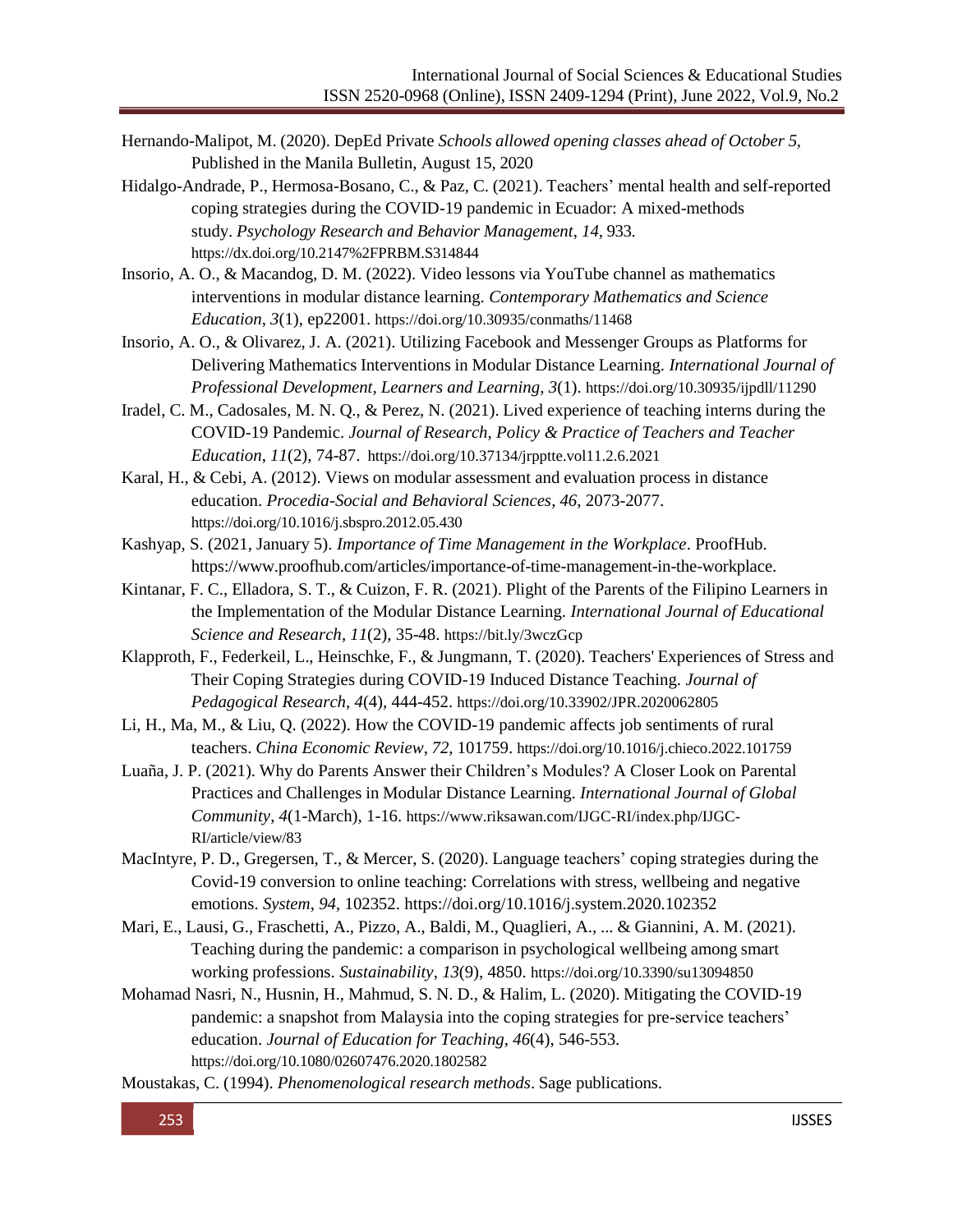- Hernando-Malipot, M. (2020). DepEd Private *Schools allowed opening classes ahead of October 5,* Published in the Manila Bulletin, August 15, 2020
- Hidalgo-Andrade, P., Hermosa-Bosano, C., & Paz, C. (2021). Teachers' mental health and self-reported coping strategies during the COVID-19 pandemic in Ecuador: A mixed-methods study. *Psychology Research and Behavior Management*, *14*, 933. <https://dx.doi.org/10.2147%2FPRBM.S314844>
- Insorio, A. O., & Macandog, D. M. (2022). Video lessons via YouTube channel as mathematics interventions in modular distance learning. *Contemporary Mathematics and Science Education*, *3*(1), ep22001. <https://doi.org/10.30935/conmaths/11468>
- Insorio, A. O., & Olivarez, J. A. (2021). Utilizing Facebook and Messenger Groups as Platforms for Delivering Mathematics Interventions in Modular Distance Learning. *International Journal of Professional Development, Learners and Learning*, *3*(1). <https://doi.org/10.30935/ijpdll/11290>
- Iradel, C. M., Cadosales, M. N. Q., & Perez, N. (2021). Lived experience of teaching interns during the COVID-19 Pandemic. *Journal of Research, Policy & Practice of Teachers and Teacher Education*, *11*(2), 74-87. <https://doi.org/10.37134/jrpptte.vol11.2.6.2021>
- Karal, H., & Cebi, A. (2012). Views on modular assessment and evaluation process in distance education. *Procedia-Social and Behavioral Sciences*, *46*, 2073-2077. <https://doi.org/10.1016/j.sbspro.2012.05.430>
- Kashyap, S. (2021, January 5). *Importance of Time Management in the Workplace*. ProofHub. https:/[/www.proofhub.com/articles/importance-of-time-management-in-the-workplace.](http://www.proofhub.com/articles/importance-of-time-management-in-the-workplace)
- Kintanar, F. C., Elladora, S. T., & Cuizon, F. R. (2021). Plight of the Parents of the Filipino Learners in the Implementation of the Modular Distance Learning. *International Journal of Educational Science and Research*, *11*(2), 35-48. https://bit.ly/3wczGcp
- Klapproth, F., Federkeil, L., Heinschke, F., & Jungmann, T. (2020). Teachers' Experiences of Stress and Their Coping Strategies during COVID-19 Induced Distance Teaching. *Journal of Pedagogical Research*, *4*(4), 444-452. <https://doi.org/10.33902/JPR.2020062805>
- Li, H., Ma, M., & Liu, Q. (2022). How the COVID-19 pandemic affects job sentiments of rural teachers. *China Economic Review*, *72*, 101759. <https://doi.org/10.1016/j.chieco.2022.101759>
- Luaña, J. P. (2021). Why do Parents Answer their Children's Modules? A Closer Look on Parental Practices and Challenges in Modular Distance Learning. *International Journal of Global Community*, *4*(1-March), 1-16. [https://www.riksawan.com/IJGC-RI/index.php/IJGC-](https://www.riksawan.com/IJGC-RI/index.php/IJGC-RI/article/view/83)[RI/article/view/83](https://www.riksawan.com/IJGC-RI/index.php/IJGC-RI/article/view/83)
- MacIntyre, P. D., Gregersen, T., & Mercer, S. (2020). Language teachers' coping strategies during the Covid-19 conversion to online teaching: Correlations with stress, wellbeing and negative emotions. *System*, *94*, 102352. https://doi.org/10.1016/j.system.2020.102352
- Mari, E., Lausi, G., Fraschetti, A., Pizzo, A., Baldi, M., Quaglieri, A., ... & Giannini, A. M. (2021). Teaching during the pandemic: a comparison in psychological wellbeing among smart working professions. *Sustainability*, *13*(9), 4850. <https://doi.org/10.3390/su13094850>
- Mohamad Nasri, N., Husnin, H., Mahmud, S. N. D., & Halim, L. (2020). Mitigating the COVID-19 pandemic: a snapshot from Malaysia into the coping strategies for pre-service teachers' education. *Journal of Education for Teaching*, *46*(4), 546-553. <https://doi.org/10.1080/02607476.2020.1802582>

Moustakas, C. (1994). *Phenomenological research methods*. Sage publications.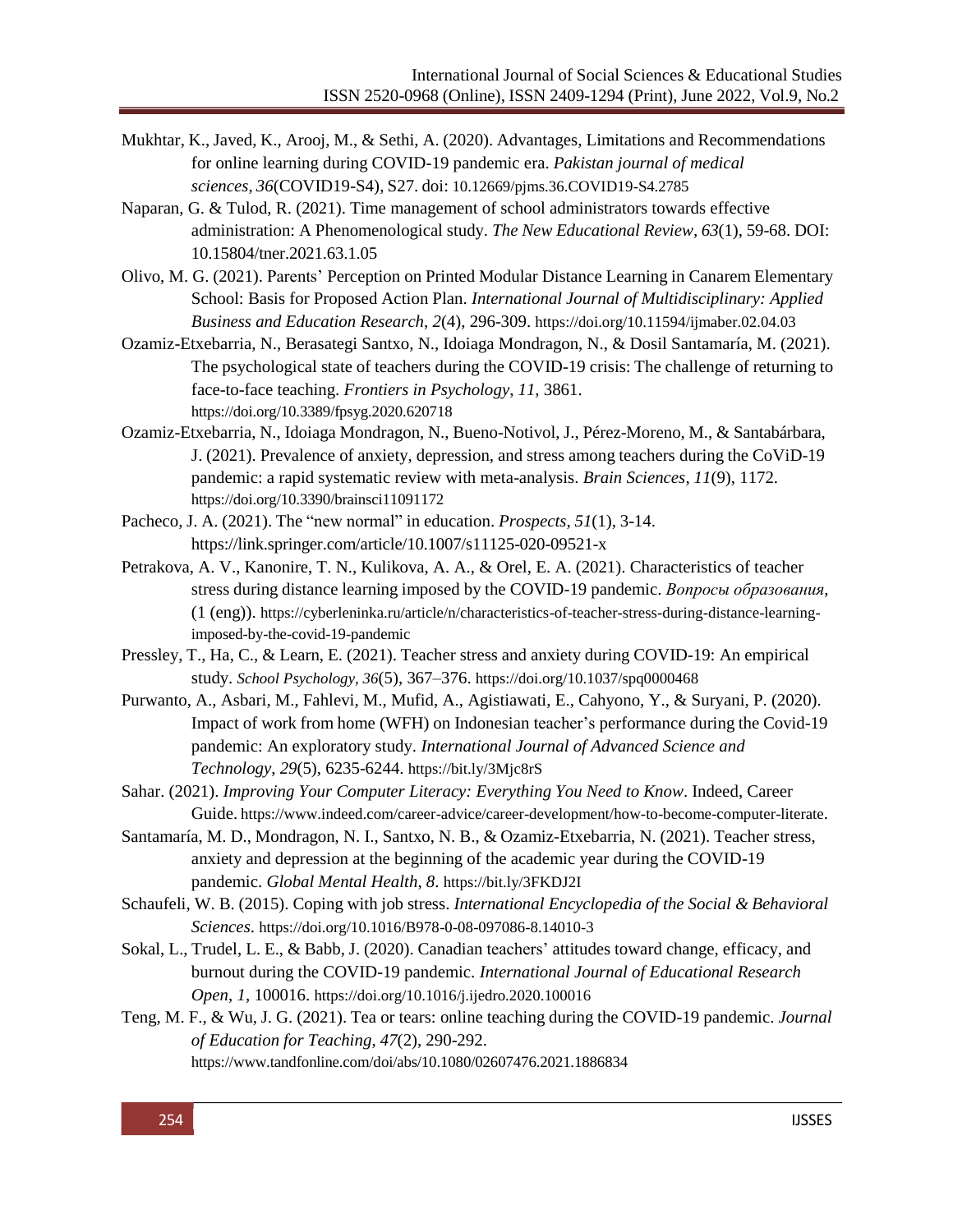- Mukhtar, K., Javed, K., Arooj, M., & Sethi, A. (2020). Advantages, Limitations and Recommendations for online learning during COVID-19 pandemic era. *Pakistan journal of medical sciences*, *36*(COVID19-S4), S27. doi: [10.12669/pjms.36.COVID19-S4.2785](https://dx.doi.org/10.12669%2Fpjms.36.COVID19-S4.2785)
- Naparan, G. & Tulod, R. (2021). Time management of school administrators towards effective administration: A Phenomenological study. *The New Educational Review, 63*(1), 59-68. DOI: 10.15804/tner.2021.63.1.05
- Olivo, M. G. (2021). Parents' Perception on Printed Modular Distance Learning in Canarem Elementary School: Basis for Proposed Action Plan. *International Journal of Multidisciplinary: Applied Business and Education Research*, *2*(4), 296-309. <https://doi.org/10.11594/ijmaber.02.04.03>
- Ozamiz-Etxebarria, N., Berasategi Santxo, N., Idoiaga Mondragon, N., & Dosil Santamaría, M. (2021). The psychological state of teachers during the COVID-19 crisis: The challenge of returning to face-to-face teaching. *Frontiers in Psychology*, *11*, 3861. <https://doi.org/10.3389/fpsyg.2020.620718>
- Ozamiz-Etxebarria, N., Idoiaga Mondragon, N., Bueno-Notivol, J., Pérez-Moreno, M., & Santabárbara, J. (2021). Prevalence of anxiety, depression, and stress among teachers during the CoViD-19 pandemic: a rapid systematic review with meta-analysis. *Brain Sciences*, *11*(9), 1172. <https://doi.org/10.3390/brainsci11091172>
- Pacheco, J. A. (2021). The "new normal" in education. *Prospects*, *51*(1), 3-14. https://link.springer.com/article/10.1007/s11125-020-09521-x
- Petrakova, A. V., Kanonire, T. N., Kulikova, A. A., & Orel, E. A. (2021). Characteristics of teacher stress during distance learning imposed by the COVID-19 pandemic. *Вопросы образования*, (1 (eng)). [https://cyberleninka.ru/article/n/characteristics-of-teacher-stress-during-distance-learning](https://cyberleninka.ru/article/n/characteristics-of-teacher-stress-during-distance-learning-imposed-by-the-covid-19-pandemic)[imposed-by-the-covid-19-pandemic](https://cyberleninka.ru/article/n/characteristics-of-teacher-stress-during-distance-learning-imposed-by-the-covid-19-pandemic)
- Pressley, T., Ha, C., & Learn, E. (2021). Teacher stress and anxiety during COVID-19: An empirical study. *School Psychology, 36*(5), 367–376. [https://doi.org/10.1037/spq0000468](https://psycnet.apa.org/doi/10.1037/spq0000468)
- Purwanto, A., Asbari, M., Fahlevi, M., Mufid, A., Agistiawati, E., Cahyono, Y., & Suryani, P. (2020). Impact of work from home (WFH) on Indonesian teacher's performance during the Covid-19 pandemic: An exploratory study. *International Journal of Advanced Science and Technology*, *29*(5), 6235-6244. https://bit.ly/3Mjc8rS
- Sahar. (2021). *Improving Your Computer Literacy: Everything You Need to Know*. Indeed, Career Guide. <https://www.indeed.com/career-advice/career-development/how-to-become-computer-literate>.
- Santamaría, M. D., Mondragon, N. I., Santxo, N. B., & Ozamiz-Etxebarria, N. (2021). Teacher stress, anxiety and depression at the beginning of the academic year during the COVID-19 pandemic. *Global Mental Health*, *8*. https://bit.ly/3FKDJ2I
- Schaufeli, W. B. (2015). Coping with job stress. *International Encyclopedia of the Social & Behavioral Sciences*. [https://doi.org/10.1016/B978-0-08-097086-8.14010-3](https://doi.org/10.1016/B978-0-08-%09097086-8.14010-3)
- Sokal, L., Trudel, L. E., & Babb, J. (2020). Canadian teachers' attitudes toward change, efficacy, and burnout during the COVID-19 pandemic. *International Journal of Educational Research Open*, *1*, 100016. <https://doi.org/10.1016/j.ijedro.2020.100016>
- Teng, M. F., & Wu, J. G. (2021). Tea or tears: online teaching during the COVID-19 pandemic. *Journal of Education for Teaching*, *47*(2), 290-292. <https://www.tandfonline.com/doi/abs/10.1080/02607476.2021.1886834>